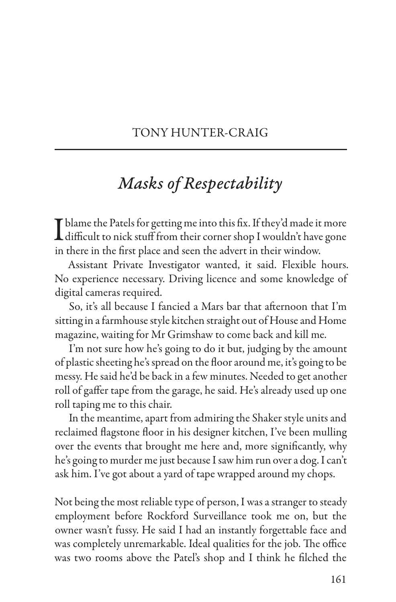## TONY HUNTER-CRAIG

## *Masks of Respectability*

I blame the Patels for getting me into this fix. If they'd made it more<br>difficult to nick stuff from their corner shop I wouldn't have gone in there in the first place and seen the advert in their window.

Assistant Private Investigator wanted, it said. Flexible hours. No experience necessary. Driving licence and some knowledge of digital cameras required.

So, it's all because I fancied a Mars bar that afternoon that I'm sitting in a farmhouse style kitchen straight out of House and Home magazine, waiting for Mr Grimshaw to come back and kill me.

I'm not sure how he's going to do it but, judging by the amount of plastic sheeting he's spread on the floor around me, it's going to be messy. He said he'd be back in a few minutes. Needed to get another roll of gaffer tape from the garage, he said. He's already used up one roll taping me to this chair.

In the meantime, apart from admiring the Shaker style units and reclaimed flagstone floor in his designer kitchen, I've been mulling over the events that brought me here and, more significantly, why he's going to murder me just because I saw him run over a dog. I can't ask him. I've got about a yard of tape wrapped around my chops.

Not being the most reliable type of person, I was a stranger to steady employment before Rockford Surveillance took me on, but the owner wasn't fussy. He said I had an instantly forgettable face and was completely unremarkable. Ideal qualities for the job. The office was two rooms above the Patel's shop and I think he filched the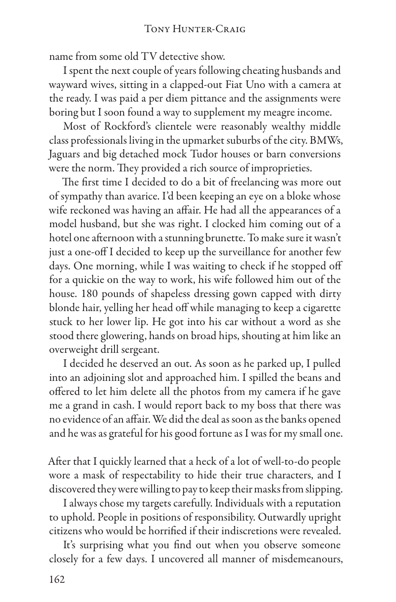name from some old TV detective show.

I spent the next couple of years following cheating husbands and wayward wives, sitting in a clapped-out Fiat Uno with a camera at the ready. I was paid a per diem pittance and the assignments were boring but I soon found a way to supplement my meagre income.

Most of Rockford's clientele were reasonably wealthy middle class professionals living in the upmarket suburbs of the city. BMWs, Jaguars and big detached mock Tudor houses or barn conversions were the norm. They provided a rich source of improprieties.

The first time I decided to do a bit of freelancing was more out of sympathy than avarice. I'd been keeping an eye on a bloke whose wife reckoned was having an affair. He had all the appearances of a model husband, but she was right. I clocked him coming out of a hotel one afternoon with a stunning brunette. To make sure it wasn't just a one-off I decided to keep up the surveillance for another few days. One morning, while I was waiting to check if he stopped off for a quickie on the way to work, his wife followed him out of the house. 180 pounds of shapeless dressing gown capped with dirty blonde hair, yelling her head off while managing to keep a cigarette stuck to her lower lip. He got into his car without a word as she stood there glowering, hands on broad hips, shouting at him like an overweight drill sergeant.

I decided he deserved an out. As soon as he parked up, I pulled into an adjoining slot and approached him. I spilled the beans and offered to let him delete all the photos from my camera if he gave me a grand in cash. I would report back to my boss that there was no evidence of an affair. We did the deal as soon as the banks opened and he was as grateful for his good fortune as I was for my small one.

After that I quickly learned that a heck of a lot of well-to-do people wore a mask of respectability to hide their true characters, and I discovered they were willing to pay to keep their masks from slipping.

I always chose my targets carefully. Individuals with a reputation to uphold. People in positions of responsibility. Outwardly upright citizens who would be horrified if their indiscretions were revealed.

It's surprising what you find out when you observe someone closely for a few days. I uncovered all manner of misdemeanours,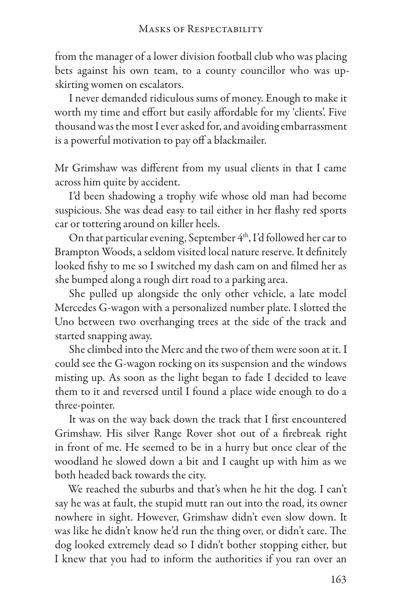from the manager of a lower division football club who was placing bets against his own team, to a county councillor who was upskirting women on escalators.

I never demanded ridiculous sums of money. Enough to make it worth my time and effort but easily affordable for my 'clients'. Five thousand was the most I ever asked for, and avoiding embarrassment is a powerful motivation to pay off a blackmailer.

Mr Grimshaw was different from my usual clients in that I came across him quite by accident.

I'd been shadowing a trophy wife whose old man had become suspicious. She was dead easy to tail either in her flashy red sports car or tottering around on killer heels.

On that particular evening, September 4<sup>th</sup>, I'd followed her car to Brampton Woods, a seldom visited local nature reserve. It definitely looked fishy to me so I switched my dash cam on and filmed her as she bumped along a rough dirt road to a parking area.

She pulled up alongside the only other vehicle, a late model Mercedes G-wagon with a personalized number plate. I slotted the Uno between two overhanging trees at the side of the track and started snapping away.

She climbed into the Merc and the two of them were soon at it. I could see the G-wagon rocking on its suspension and the windows misting up. As soon as the light began to fade I decided to leave them to it and reversed until I found a place wide enough to do a three-pointer.

It was on the way back down the track that I first encountered Grimshaw. His silver Range Rover shot out of a firebreak right in front of me. He seemed to be in a hurry but once clear of the woodland he slowed down a bit and I caught up with him as we both headed back towards the city.

We reached the suburbs and that's when he hit the dog. I can't say he was at fault, the stupid mutt ran out into the road, its owner nowhere in sight. However, Grimshaw didn't even slow down. It was like he didn't know he'd run the thing over, or didn't care. The dog looked extremely dead so I didn't bother stopping either, but I knew that you had to inform the authorities if you ran over an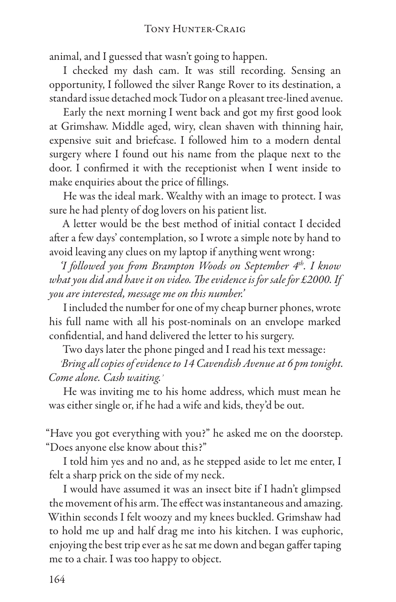animal, and I guessed that wasn't going to happen.

I checked my dash cam. It was still recording. Sensing an opportunity, I followed the silver Range Rover to its destination, a standard issue detached mock Tudor on a pleasant tree-lined avenue.

Early the next morning I went back and got my first good look at Grimshaw. Middle aged, wiry, clean shaven with thinning hair, expensive suit and briefcase. I followed him to a modern dental surgery where I found out his name from the plaque next to the door. I confirmed it with the receptionist when I went inside to make enquiries about the price of fillings.

He was the ideal mark. Wealthy with an image to protect. I was sure he had plenty of dog lovers on his patient list.

A letter would be the best method of initial contact I decided after a few days' contemplation, so I wrote a simple note by hand to avoid leaving any clues on my laptop if anything went wrong:

*'I followed you from Brampton Woods on September 4th. I know what you did and have it on video. The evidence is for sale for £2000. If you are interested, message me on this number.'*

I included the number for one of my cheap burner phones, wrote his full name with all his post-nominals on an envelope marked confidential, and hand delivered the letter to his surgery.

Two days later the phone pinged and I read his text message:

*'Bring all copies of evidence to 14 Cavendish Avenue at 6 pm tonight. Come alone. Cash waiting.'*

He was inviting me to his home address, which must mean he was either single or, if he had a wife and kids, they'd be out.

"Have you got everything with you?" he asked me on the doorstep. "Does anyone else know about this?"

I told him yes and no and, as he stepped aside to let me enter, I felt a sharp prick on the side of my neck.

I would have assumed it was an insect bite if I hadn't glimpsed the movement of his arm. The effect was instantaneous and amazing. Within seconds I felt woozy and my knees buckled. Grimshaw had to hold me up and half drag me into his kitchen. I was euphoric, enjoying the best trip ever as he sat me down and began gaffer taping me to a chair. I was too happy to object.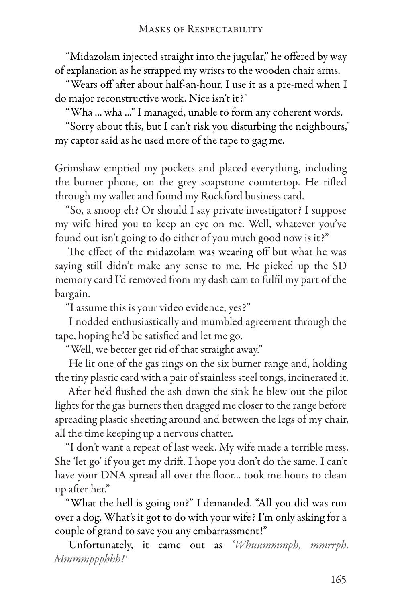"Midazolam injected straight into the jugular," he offered by way of explanation as he strapped my wrists to the wooden chair arms.

"Wears off after about half-an-hour. I use it as a pre-med when I do major reconstructive work. Nice isn't it?"

"Wha ... wha ..." I managed, unable to form any coherent words.

"Sorry about this, but I can't risk you disturbing the neighbours," my captor said as he used more of the tape to gag me.

Grimshaw emptied my pockets and placed everything, including the burner phone, on the grey soapstone countertop. He rifled through my wallet and found my Rockford business card.

"So, a snoop eh? Or should I say private investigator? I suppose my wife hired you to keep an eye on me. Well, whatever you've found out isn't going to do either of you much good now is it?"

The effect of the midazolam was wearing off but what he was saying still didn't make any sense to me. He picked up the SD memory card I'd removed from my dash cam to fulfil my part of the bargain.

"I assume this is your video evidence, yes?"

I nodded enthusiastically and mumbled agreement through the tape, hoping he'd be satisfied and let me go.

"Well, we better get rid of that straight away."

He lit one of the gas rings on the six burner range and, holding the tiny plastic card with a pair of stainless steel tongs, incinerated it.

After he'd flushed the ash down the sink he blew out the pilot lights for the gas burners then dragged me closer to the range before spreading plastic sheeting around and between the legs of my chair, all the time keeping up a nervous chatter.

"I don't want a repeat of last week. My wife made a terrible mess. She 'let go' if you get my drift. I hope you don't do the same. I can't have your DNA spread all over the floor... took me hours to clean up after her."

"What the hell is going on?" I demanded. "All you did was run over a dog. What's it got to do with your wife? I'm only asking for a couple of grand to save you any embarrassment!"

Unfortunately, it came out as *'Whuummmph, mmrrph. Mmmmppphhh!'*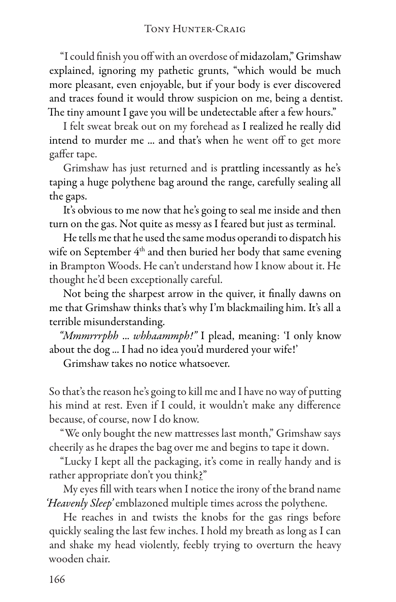"I could finish you off with an overdose of midazolam," Grimshaw explained, ignoring my pathetic grunts, "which would be much more pleasant, even enjoyable, but if your body is ever discovered and traces found it would throw suspicion on me, being a dentist. The tiny amount I gave you will be undetectable after a few hours."

I felt sweat break out on my forehead as I realized he really did intend to murder me ... and that's when he went off to get more gaffer tape.

Grimshaw has just returned and is prattling incessantly as he's taping a huge polythene bag around the range, carefully sealing all the gaps.

It's obvious to me now that he's going to seal me inside and then turn on the gas. Not quite as messy as I feared but just as terminal.

He tells me that he used the same modus operandi to dispatch his wife on September  $4<sup>th</sup>$  and then buried her body that same evening in Brampton Woods. He can't understand how I know about it. He thought he'd been exceptionally careful.

Not being the sharpest arrow in the quiver, it finally dawns on me that Grimshaw thinks that's why I'm blackmailing him. It's all a terrible misunderstanding.

*"Mmmrrrphh* ... *whhaammph!"* I plead, meaning: 'I only know about the dog ... I had no idea you'd murdered your wife!'

Grimshaw takes no notice whatsoever.

So that's the reason he's going to kill me and I have no way of putting his mind at rest. Even if I could, it wouldn't make any difference because, of course, now I do know.

"We only bought the new mattresses last month," Grimshaw says cheerily as he drapes the bag over me and begins to tape it down.

"Lucky I kept all the packaging, it's come in really handy and is rather appropriate don't you think?"

My eyes fill with tears when I notice the irony of the brand name *'Heavenly Sleep'* emblazoned multiple times across the polythene.

He reaches in and twists the knobs for the gas rings before quickly sealing the last few inches. I hold my breath as long as I can and shake my head violently, feebly trying to overturn the heavy wooden chair.